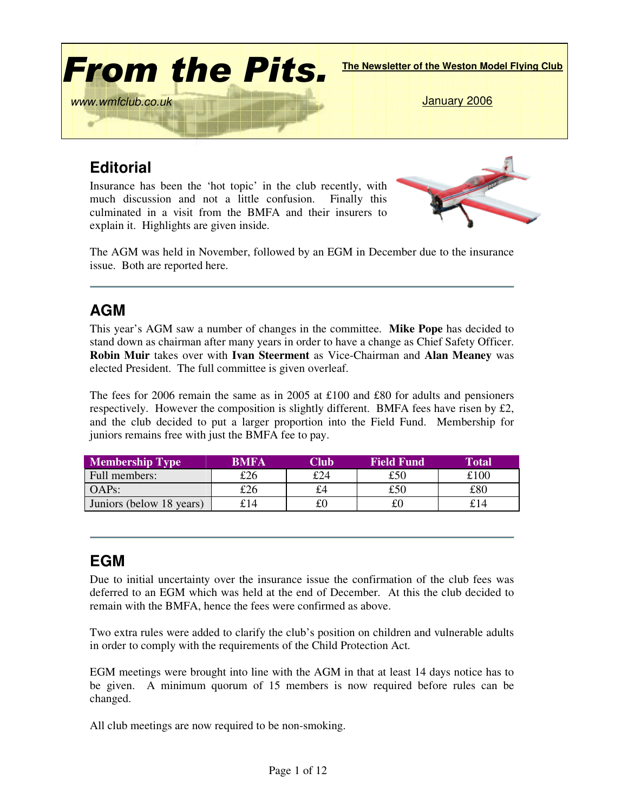

# **Editorial**

Insurance has been the 'hot topic' in the club recently, with much discussion and not a little confusion. Finally this culminated in a visit from the BMFA and their insurers to explain it. Highlights are given inside.



The AGM was held in November, followed by an EGM in December due to the insurance issue. Both are reported here.

## **AGM**

This year's AGM saw a number of changes in the committee. **Mike Pope** has decided to stand down as chairman after many years in order to have a change as Chief Safety Officer. **Robin Muir** takes over with **Ivan Steerment** as Vice-Chairman and **Alan Meaney** was elected President. The full committee is given overleaf.

The fees for 2006 remain the same as in 2005 at £100 and £80 for adults and pensioners respectively. However the composition is slightly different. BMFA fees have risen by  $\mathcal{L}2$ , and the club decided to put a larger proportion into the Field Fund. Membership for juniors remains free with just the BMFA fee to pay.

| <b>Membership Type</b>   | <b>BMFA</b> | Club | <b>Field Fund</b> | <b>Total</b> |
|--------------------------|-------------|------|-------------------|--------------|
| Full members:            | £26         | £24  | £50               | £100         |
| $OAPs$ :                 | £26         | £4   | £50               | £80          |
| Juniors (below 18 years) | £14         | £C   | £0                | £14          |

## **EGM**

Due to initial uncertainty over the insurance issue the confirmation of the club fees was deferred to an EGM which was held at the end of December. At this the club decided to remain with the BMFA, hence the fees were confirmed as above.

Two extra rules were added to clarify the club's position on children and vulnerable adults in order to comply with the requirements of the Child Protection Act.

EGM meetings were brought into line with the AGM in that at least 14 days notice has to be given. A minimum quorum of 15 members is now required before rules can be changed.

All club meetings are now required to be non-smoking.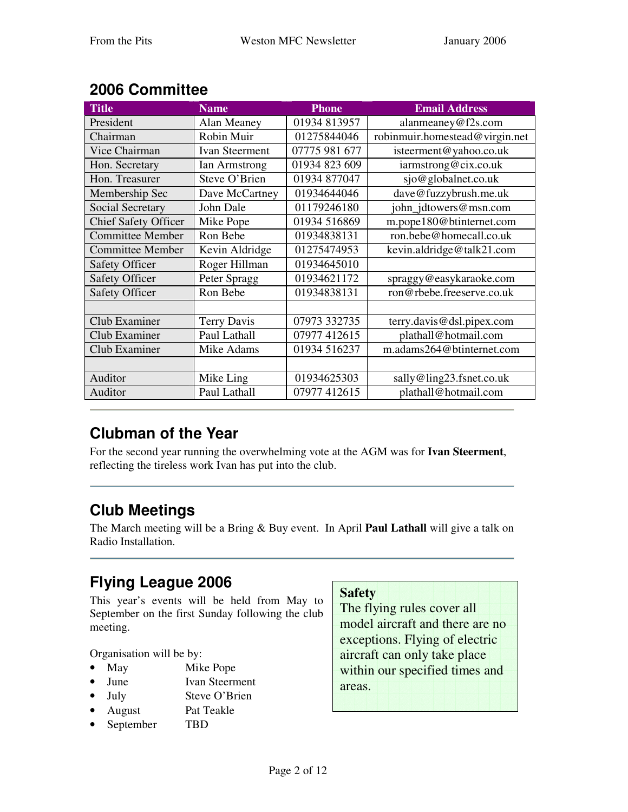| <b>Title</b>                | <b>Name</b>           | <b>Phone</b>  | <b>Email Address</b>           |
|-----------------------------|-----------------------|---------------|--------------------------------|
| President                   | Alan Meaney           | 01934 813957  | alanmeaney@f2s.com             |
| Chairman                    | Robin Muir            | 01275844046   | robinmuir.homestead@virgin.net |
| Vice Chairman               | <b>Ivan Steerment</b> | 07775 981 677 | isteerment@yahoo.co.uk         |
| Hon. Secretary              | Ian Armstrong         | 01934 823 609 | iarmstrong@cix.co.uk           |
| Hon. Treasurer              | Steve O'Brien         | 01934 877047  | sjo@globalnet.co.uk            |
| Membership Sec              | Dave McCartney        | 01934644046   | dave@fuzzybrush.me.uk          |
| Social Secretary            | John Dale             | 01179246180   | john_jdtowers@msn.com          |
| <b>Chief Safety Officer</b> | Mike Pope             | 01934 516869  | m.pope180@btinternet.com       |
| <b>Committee Member</b>     | Ron Bebe              | 01934838131   | ron.bebe@homecall.co.uk        |
| <b>Committee Member</b>     | Kevin Aldridge        | 01275474953   | kevin.aldridge@talk21.com      |
| <b>Safety Officer</b>       | Roger Hillman         | 01934645010   |                                |
| <b>Safety Officer</b>       | Peter Spragg          | 01934621172   | spraggy@easykaraoke.com        |
| <b>Safety Officer</b>       | Ron Bebe              | 01934838131   | ron@rbebe.freeserve.co.uk      |
|                             |                       |               |                                |
| Club Examiner               | <b>Terry Davis</b>    | 07973 332735  | terry.davis@dsl.pipex.com      |
| Club Examiner               | Paul Lathall          | 07977 412615  | plathall@hotmail.com           |
| Club Examiner               | Mike Adams            | 01934 516237  | m.adams264@btinternet.com      |
|                             |                       |               |                                |
| Auditor                     | Mike Ling             | 01934625303   | sally@ling23.fsnet.co.uk       |
| Auditor                     | Paul Lathall          | 07977 412615  | plathall@hotmail.com           |

# **2006 Committee**

## **Clubman of the Year**

For the second year running the overwhelming vote at the AGM was for **Ivan Steerment**, reflecting the tireless work Ivan has put into the club.

# **Club Meetings**

The March meeting will be a Bring & Buy event. In April **Paul Lathall** will give a talk on Radio Installation.

# **Flying League 2006**

This year's events will be held from May to September on the first Sunday following the club meeting.

Organisation will be by:

- May Mike Pope
- June Ivan Steerment
- July Steve O'Brien
- August Pat Teakle
- September TBD

### **Safety**

The flying rules cover all model aircraft and there are no exceptions. Flying of electric aircraft can only take place within our specified times and areas.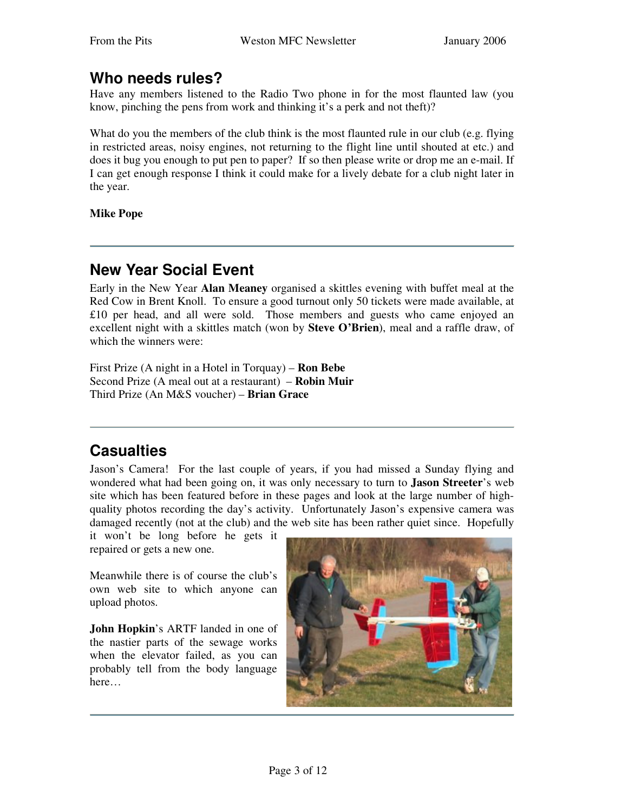### **Who needs rules?**

Have any members listened to the Radio Two phone in for the most flaunted law (you know, pinching the pens from work and thinking it's a perk and not theft)?

What do you the members of the club think is the most flaunted rule in our club (e.g. flying in restricted areas, noisy engines, not returning to the flight line until shouted at etc.) and does it bug you enough to put pen to paper? If so then please write or drop me an e-mail. If I can get enough response I think it could make for a lively debate for a club night later in the year.

**Mike Pope**

## **New Year Social Event**

Early in the New Year **Alan Meaney** organised a skittles evening with buffet meal at the Red Cow in Brent Knoll. To ensure a good turnout only 50 tickets were made available, at £10 per head, and all were sold. Those members and guests who came enjoyed an excellent night with a skittles match (won by **Steve O'Brien**), meal and a raffle draw, of which the winners were:

First Prize (A night in a Hotel in Torquay) – **Ron Bebe** Second Prize (A meal out at a restaurant) – **Robin Muir** Third Prize (An M&S voucher) – **Brian Grace**

## **Casualties**

Jason's Camera! For the last couple of years, if you had missed a Sunday flying and wondered what had been going on, it was only necessary to turn to **Jason Streeter**'s web site which has been featured before in these pages and look at the large number of highquality photos recording the day's activity. Unfortunately Jason's expensive camera was damaged recently (not at the club) and the web site has been rather quiet since. Hopefully

it won't be long before he gets it repaired or gets a new one.

Meanwhile there is of course the club's own web site to which anyone can upload photos.

**John Hopkin**'s ARTF landed in one of the nastier parts of the sewage works when the elevator failed, as you can probably tell from the body language here…

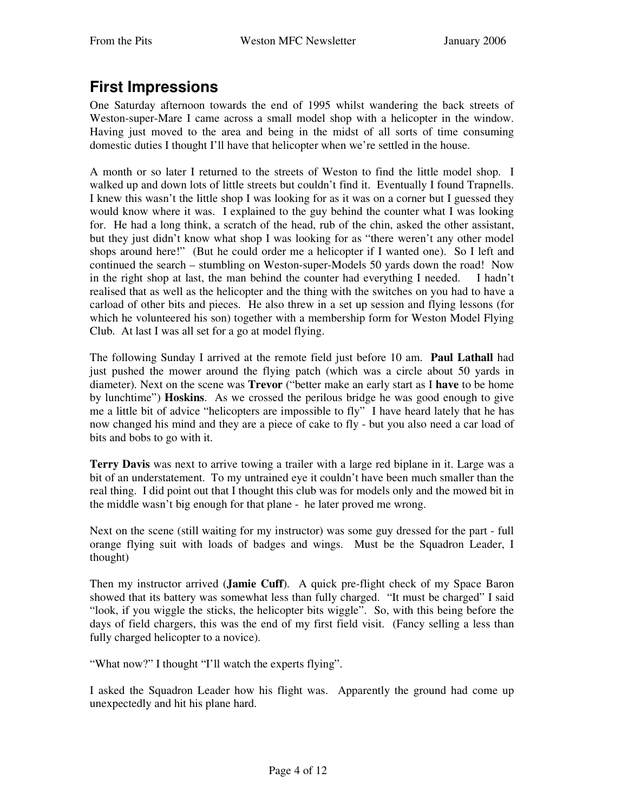### **First Impressions**

One Saturday afternoon towards the end of 1995 whilst wandering the back streets of Weston-super-Mare I came across a small model shop with a helicopter in the window. Having just moved to the area and being in the midst of all sorts of time consuming domestic duties I thought I'll have that helicopter when we're settled in the house.

A month or so later I returned to the streets of Weston to find the little model shop. I walked up and down lots of little streets but couldn't find it. Eventually I found Trapnells. I knew this wasn't the little shop I was looking for as it was on a corner but I guessed they would know where it was. I explained to the guy behind the counter what I was looking for. He had a long think, a scratch of the head, rub of the chin, asked the other assistant, but they just didn't know what shop I was looking for as "there weren't any other model shops around here!" (But he could order me a helicopter if I wanted one). So I left and continued the search – stumbling on Weston-super-Models 50 yards down the road! Now in the right shop at last, the man behind the counter had everything I needed. I hadn't realised that as well as the helicopter and the thing with the switches on you had to have a carload of other bits and pieces. He also threw in a set up session and flying lessons (for which he volunteered his son) together with a membership form for Weston Model Flying Club. At last I was all set for a go at model flying.

The following Sunday I arrived at the remote field just before 10 am. **Paul Lathall** had just pushed the mower around the flying patch (which was a circle about 50 yards in diameter). Next on the scene was **Trevor** ("better make an early start as I **have** to be home by lunchtime") **Hoskins**. As we crossed the perilous bridge he was good enough to give me a little bit of advice "helicopters are impossible to fly" I have heard lately that he has now changed his mind and they are a piece of cake to fly - but you also need a car load of bits and bobs to go with it.

**Terry Davis** was next to arrive towing a trailer with a large red biplane in it. Large was a bit of an understatement. To my untrained eye it couldn't have been much smaller than the real thing. I did point out that I thought this club was for models only and the mowed bit in the middle wasn't big enough for that plane - he later proved me wrong.

Next on the scene (still waiting for my instructor) was some guy dressed for the part - full orange flying suit with loads of badges and wings. Must be the Squadron Leader, I thought)

Then my instructor arrived (**Jamie Cuff**). A quick pre-flight check of my Space Baron showed that its battery was somewhat less than fully charged. "It must be charged" I said "look, if you wiggle the sticks, the helicopter bits wiggle". So, with this being before the days of field chargers, this was the end of my first field visit. (Fancy selling a less than fully charged helicopter to a novice).

"What now?" I thought "I'll watch the experts flying".

I asked the Squadron Leader how his flight was. Apparently the ground had come up unexpectedly and hit his plane hard.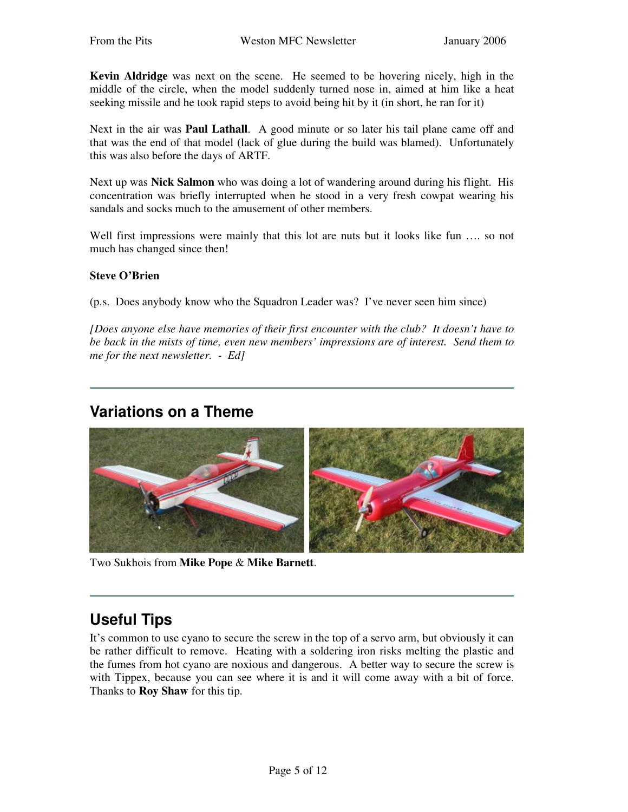**Kevin Aldridge** was next on the scene. He seemed to be hovering nicely, high in the middle of the circle, when the model suddenly turned nose in, aimed at him like a heat seeking missile and he took rapid steps to avoid being hit by it (in short, he ran for it)

Next in the air was **Paul Lathall**. A good minute or so later his tail plane came off and that was the end of that model (lack of glue during the build was blamed). Unfortunately this was also before the days of ARTF.

Next up was **Nick Salmon** who was doing a lot of wandering around during his flight. His concentration was briefly interrupted when he stood in a very fresh cowpat wearing his sandals and socks much to the amusement of other members.

Well first impressions were mainly that this lot are nuts but it looks like fun .... so not much has changed since then!

#### **Steve O'Brien**

(p.s. Does anybody know who the Squadron Leader was? I've never seen him since)

*[Does anyone else have memories of their first encounter with the club? It doesn't have to be back in the mists of time, even new members' impressions are of interest. Send them to me for the next newsletter. - Ed]*

### **Variations on a Theme**



Two Sukhois from **Mike Pope** & **Mike Barnett**.

### **Useful Tips**

It's common to use cyano to secure the screw in the top of a servo arm, but obviously it can be rather difficult to remove. Heating with a soldering iron risks melting the plastic and the fumes from hot cyano are noxious and dangerous. A better way to secure the screw is with Tippex, because you can see where it is and it will come away with a bit of force. Thanks to **Roy Shaw** for this tip.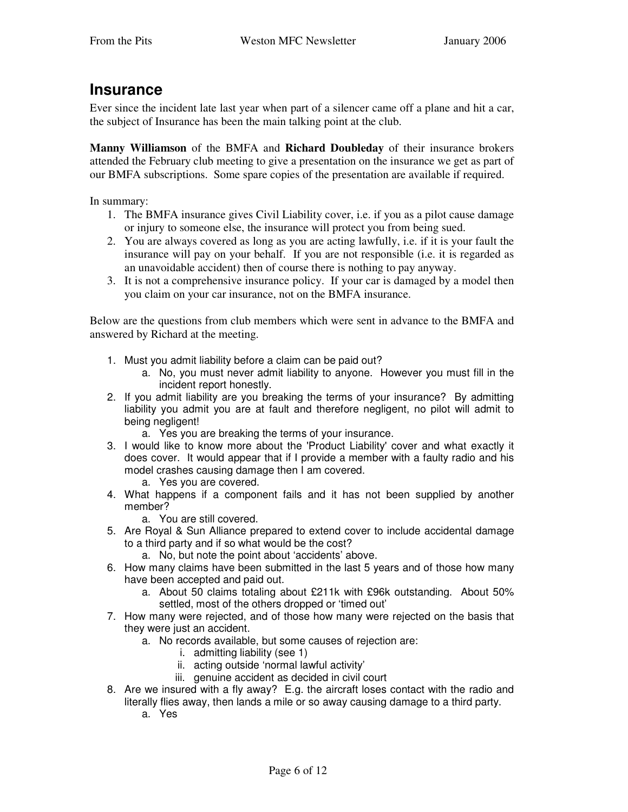### **Insurance**

Ever since the incident late last year when part of a silencer came off a plane and hit a car, the subject of Insurance has been the main talking point at the club.

**Manny Williamson** of the BMFA and **Richard Doubleday** of their insurance brokers attended the February club meeting to give a presentation on the insurance we get as part of our BMFA subscriptions. Some spare copies of the presentation are available if required.

In summary:

- 1. The BMFA insurance gives Civil Liability cover, i.e. if you as a pilot cause damage or injury to someone else, the insurance will protect you from being sued.
- 2. You are always covered as long as you are acting lawfully, i.e. if it is your fault the insurance will pay on your behalf. If you are not responsible (i.e. it is regarded as an unavoidable accident) then of course there is nothing to pay anyway.
- 3. It is not a comprehensive insurance policy. If your car is damaged by a model then you claim on your car insurance, not on the BMFA insurance.

Below are the questions from club members which were sent in advance to the BMFA and answered by Richard at the meeting.

- 1. Must you admit liability before a claim can be paid out?
	- a. No, you must never admit liability to anyone. However you must fill in the incident report honestly.
- 2. If you admit liability are you breaking the terms of your insurance? By admitting liability you admit you are at fault and therefore negligent, no pilot will admit to being negligent!
	- a. Yes you are breaking the terms of your insurance.
- 3. I would like to know more about the 'Product Liability' cover and what exactly it does cover. It would appear that if I provide a member with a faulty radio and his model crashes causing damage then I am covered.
	- a. Yes you are covered.
- 4. What happens if a component fails and it has not been supplied by another member?
	- a. You are still covered.
- 5. Are Royal & Sun Alliance prepared to extend cover to include accidental damage to a third party and if so what would be the cost?
	- a. No, but note the point about 'accidents' above.
- 6. How many claims have been submitted in the last 5 years and of those how many have been accepted and paid out.
	- a. About 50 claims totaling about £211k with £96k outstanding. About 50% settled, most of the others dropped or 'timed out'
- 7. How many were rejected, and of those how many were rejected on the basis that they were just an accident.
	- a. No records available, but some causes of rejection are:
		- i. admitting liability (see 1)
		- ii. acting outside 'normal lawful activity'
		- iii. genuine accident as decided in civil court
- 8. Are we insured with a fly away? E.g. the aircraft loses contact with the radio and literally flies away, then lands a mile or so away causing damage to a third party.
	- a. Yes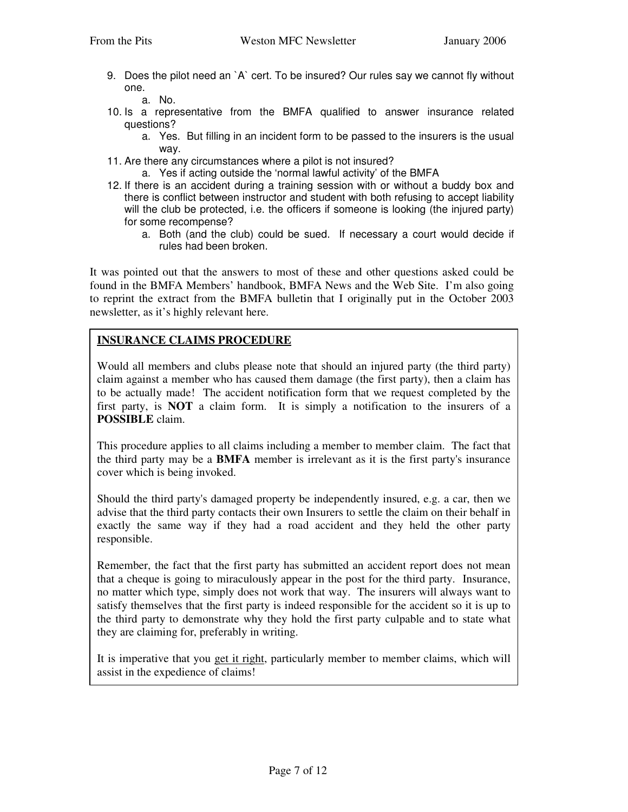9. Does the pilot need an `A` cert. To be insured? Our rules say we cannot fly without one.

a. No.

- 10. Is a representative from the BMFA qualified to answer insurance related questions?
	- a. Yes. But filling in an incident form to be passed to the insurers is the usual way.
- 11. Are there any circumstances where a pilot is not insured?
	- a. Yes if acting outside the 'normal lawful activity' of the BMFA
- 12. If there is an accident during a training session with or without a buddy box and there is conflict between instructor and student with both refusing to accept liability will the club be protected, i.e. the officers if someone is looking (the injured party) for some recompense?
	- a. Both (and the club) could be sued. If necessary a court would decide if rules had been broken.

It was pointed out that the answers to most of these and other questions asked could be found in the BMFA Members' handbook, BMFA News and the Web Site. I'm also going to reprint the extract from the BMFA bulletin that I originally put in the October 2003 newsletter, as it's highly relevant here.

### **INSURANCE CLAIMS PROCEDURE**

Would all members and clubs please note that should an injured party (the third party) claim against a member who has caused them damage (the first party), then a claim has to be actually made! The accident notification form that we request completed by the first party, is **NOT** a claim form. It is simply a notification to the insurers of a **POSSIBLE** claim.

This procedure applies to all claims including a member to member claim. The fact that the third party may be a **BMFA** member is irrelevant as it is the first party's insurance cover which is being invoked.

Should the third party's damaged property be independently insured, e.g. a car, then we advise that the third party contacts their own Insurers to settle the claim on their behalf in exactly the same way if they had a road accident and they held the other party responsible.

Remember, the fact that the first party has submitted an accident report does not mean that a cheque is going to miraculously appear in the post for the third party. Insurance, no matter which type, simply does not work that way. The insurers will always want to satisfy themselves that the first party is indeed responsible for the accident so it is up to the third party to demonstrate why they hold the first party culpable and to state what they are claiming for, preferably in writing.

It is imperative that you get it right, particularly member to member claims, which will assist in the expedience of claims!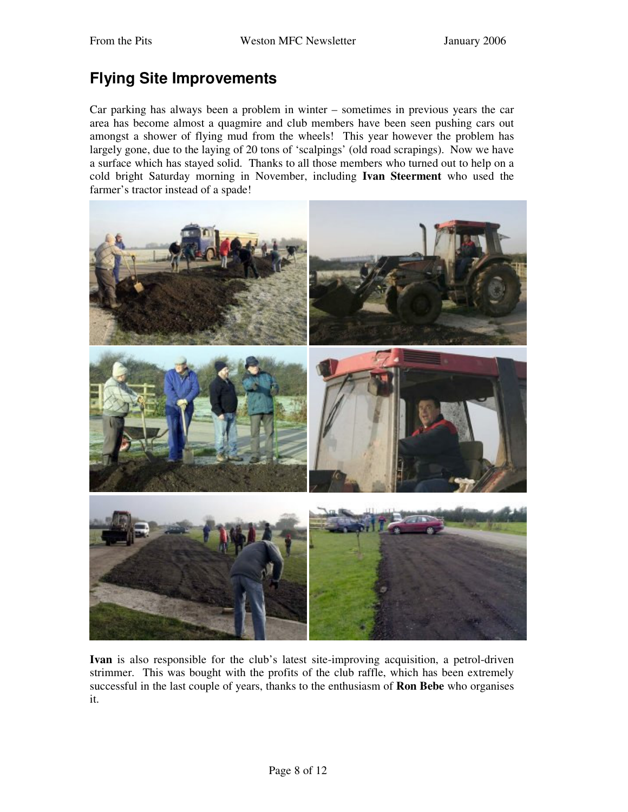## **Flying Site Improvements**

Car parking has always been a problem in winter – sometimes in previous years the car area has become almost a quagmire and club members have been seen pushing cars out amongst a shower of flying mud from the wheels! This year however the problem has largely gone, due to the laying of 20 tons of 'scalpings' (old road scrapings). Now we have a surface which has stayed solid. Thanks to all those members who turned out to help on a cold bright Saturday morning in November, including **Ivan Steerment** who used the farmer's tractor instead of a spade!



**Ivan** is also responsible for the club's latest site-improving acquisition, a petrol-driven strimmer. This was bought with the profits of the club raffle, which has been extremely successful in the last couple of years, thanks to the enthusiasm of **Ron Bebe** who organises it.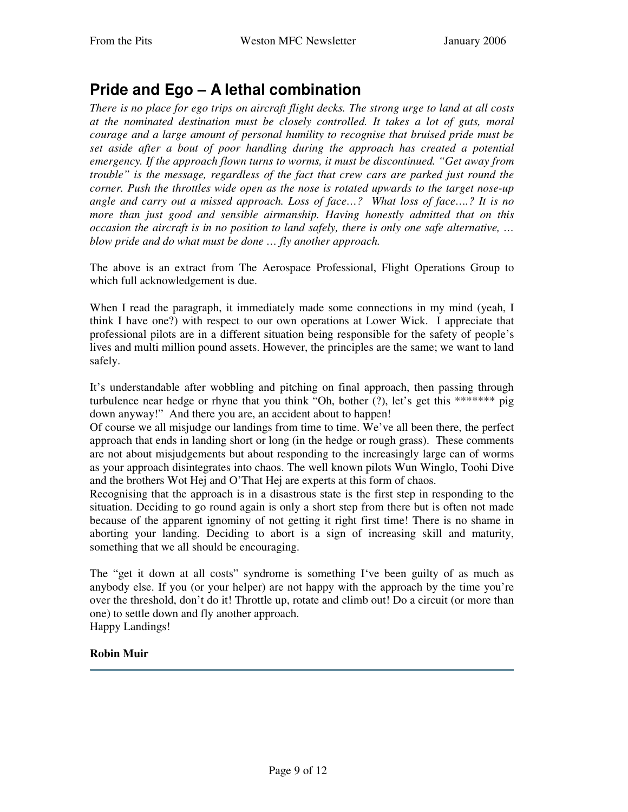## **Pride and Ego – A lethal combination**

There is no place for ego trips on aircraft flight decks. The strong urge to land at all costs *at the nominated destination must be closely controlled. It takes a lot of guts, moral courage and a large amount of personal humility to recognise that bruised pride must be set aside after a bout of poor handling during the approach has created a potential emergency. If the approach flown turns to worms, it must be discontinued. "Get away from trouble" is the message, regardless of the fact that crew cars are parked just round the corner. Push the throttles wide open as the nose is rotated upwards to the target nose-up angle and carry out a missed approach. Loss of face…? What loss of face….? It is no more than just good and sensible airmanship. Having honestly admitted that on this occasion the aircraft is in no position to land safely, there is only one safe alternative, … blow pride and do what must be done … fly another approach.*

The above is an extract from The Aerospace Professional, Flight Operations Group to which full acknowledgement is due.

When I read the paragraph, it immediately made some connections in my mind (yeah, I think I have one?) with respect to our own operations at Lower Wick. I appreciate that professional pilots are in a different situation being responsible for the safety of people's lives and multi million pound assets. However, the principles are the same; we want to land safely.

It's understandable after wobbling and pitching on final approach, then passing through turbulence near hedge or rhyne that you think "Oh, bother (?), let's get this \*\*\*\*\*\*\* pig down anyway!" And there you are, an accident about to happen!

Of course we all misjudge our landings from time to time. We've all been there, the perfect approach that ends in landing short or long (in the hedge or rough grass). These comments are not about misjudgements but about responding to the increasingly large can of worms as your approach disintegrates into chaos. The well known pilots Wun Winglo, Toohi Dive and the brothers Wot Hej and O'That Hej are experts at this form of chaos.

Recognising that the approach is in a disastrous state is the first step in responding to the situation. Deciding to go round again is only a short step from there but is often not made because of the apparent ignominy of not getting it right first time! There is no shame in aborting your landing. Deciding to abort is a sign of increasing skill and maturity, something that we all should be encouraging.

The "get it down at all costs" syndrome is something I've been guilty of as much as anybody else. If you (or your helper) are not happy with the approach by the time you're over the threshold, don't do it! Throttle up, rotate and climb out! Do a circuit (or more than one) to settle down and fly another approach. Happy Landings!

#### **Robin Muir**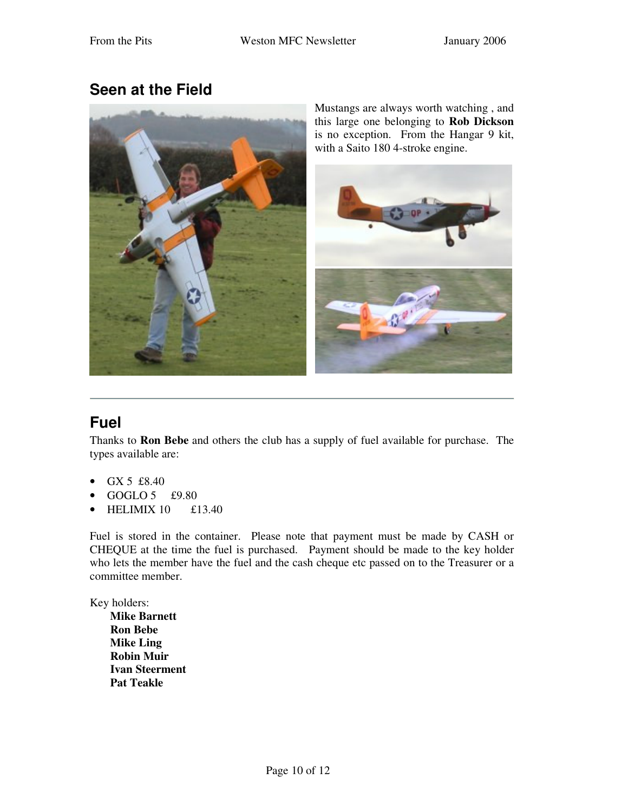### **Seen at the Field**



Mustangs are always worth watching , and this large one belonging to **Rob Dickson** is no exception. From the Hangar 9 kit, with a Saito 180 4-stroke engine.



## **Fuel**

Thanks to **Ron Bebe** and others the club has a supply of fuel available for purchase. The types available are:

- GX 5 £8.40
- GOGLO  $5$  £9.80
- HELIMIX  $10$  £13.40

Fuel is stored in the container. Please note that payment must be made by CASH or CHEQUE at the time the fuel is purchased. Payment should be made to the key holder who lets the member have the fuel and the cash cheque etc passed on to the Treasurer or a committee member.

Key holders:

**Mike Barnett Ron Bebe Mike Ling Robin Muir Ivan Steerment Pat Teakle**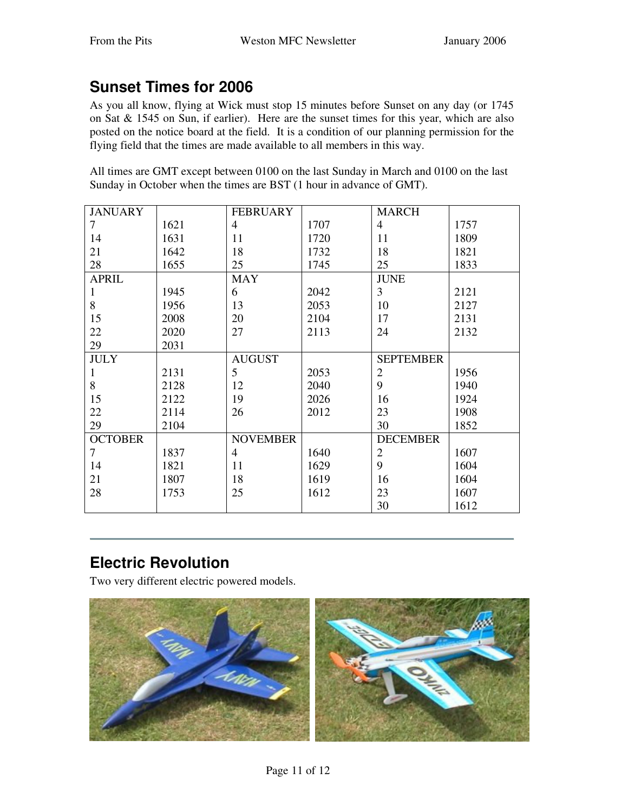# **Sunset Times for 2006**

As you all know, flying at Wick must stop 15 minutes before Sunset on any day (or 1745 on Sat & 1545 on Sun, if earlier). Here are the sunset times for this year, which are also posted on the notice board at the field. It is a condition of our planning permission for the flying field that the times are made available to all members in this way.

All times are GMT except between 0100 on the last Sunday in March and 0100 on the last Sunday in October when the times are BST (1 hour in advance of GMT).

| <b>JANUARY</b> |      | <b>FEBRUARY</b> |      | <b>MARCH</b>     |      |
|----------------|------|-----------------|------|------------------|------|
| 7              | 1621 | $\overline{4}$  | 1707 | $\overline{4}$   | 1757 |
| 14             | 1631 | 11              | 1720 | 11               | 1809 |
| 21             | 1642 | 18              | 1732 | 18               | 1821 |
| 28             | 1655 | 25              | 1745 | 25               | 1833 |
| <b>APRIL</b>   |      | <b>MAY</b>      |      | <b>JUNE</b>      |      |
| 1              | 1945 | 6               | 2042 | 3                | 2121 |
| 8              | 1956 | 13              | 2053 | 10               | 2127 |
| 15             | 2008 | 20              | 2104 | 17               | 2131 |
| 22             | 2020 | 27              | 2113 | 24               | 2132 |
| 29             | 2031 |                 |      |                  |      |
| <b>JULY</b>    |      | <b>AUGUST</b>   |      | <b>SEPTEMBER</b> |      |
| $\mathbf{1}$   | 2131 | 5               | 2053 | 2                | 1956 |
| 8              | 2128 | 12              | 2040 | 9                | 1940 |
| 15             | 2122 | 19              | 2026 | 16               | 1924 |
| 22             | 2114 | 26              | 2012 | 23               | 1908 |
| 29             | 2104 |                 |      | 30               | 1852 |
| <b>OCTOBER</b> |      | <b>NOVEMBER</b> |      | <b>DECEMBER</b>  |      |
| 7              | 1837 | $\overline{4}$  | 1640 | $\overline{2}$   | 1607 |
| 14             | 1821 | 11              | 1629 | 9                | 1604 |
| 21             | 1807 | 18              | 1619 | 16               | 1604 |
| 28             | 1753 | 25              | 1612 | 23               | 1607 |
|                |      |                 |      | 30               | 1612 |

# **Electric Revolution**

Two very different electric powered models.